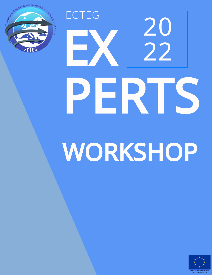

# EX PERTS WORKSHOP ECTEG 20 22

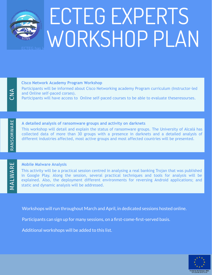

# **ECTEG HAS IND RKSHOP PLAN** ECTEG EXPERTS

**Cisco Network Academy Program Workshop**

Participants will be informed about Cisco Networking academy Program curriculum (Instructor-led and Online self-paced corses).

Participants will have access to Online self-paced courses to be able to evaluate theseresourses.

#### **A detailed analysis of ransomware groups and activity on darknets**

This workshop will detail and explain the status of ransomware groups. The University of Alcalá has collected data of more than 30 groups with a presence in darknets and a detailed analysis of different industries affected, most active groups and most affected countries will be presented.

#### $\mathsf{\Sigma}$  $\blacktriangleleft$  $\ge$  $\blacktriangleleft$  $\bf \alpha$ E

R<br>A Nഗ O $\mathsf{s}$ ≶ A $\mathbb E$ 

 $\bm{\cup}$ Z  $\blacktriangleleft$ 

#### **Mobile Malware Analysis**

 explained. Also, the deployment different environments for reversing Android applications; and This activity will be a practical session centred in analysing a real banking Trojan that was published in Google Play. Along the session, several practical techniques and tools for analysis will be static and dynamic analysis will be addressed.

Workshops will run throughout March and April, in dedicated sessions hosted online.

Participants can sign up for many sessions, on a first-come-first-served basis.

Additional workshops will be added to this list.

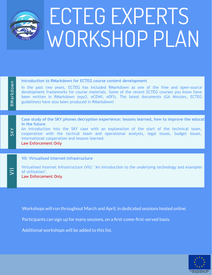

# WORKSHOP PLAN ECTEG EXPERTS

#### **Introduction to RMarkdown for ECTEG course content development**

In the past two years, ECTEG has included RMarkdown as one of the free and open-source development frameworks for course materials. Some of the recent ECTEG courses you know have been written in RMarkdown (epy3, eCDWI, eDFI). The latest documents (GA Minutes, ECTEG guidelines) have also been produced in RMarkdown!

Case study of the SKY phones decryption experience: lessons learned, how to improve the educati**on in the to** efficient is available for LEA first response response the materials materials materials may sometimes be difficult due **in the future**

An introduction into the SKY case with an explanation of the start of the technical team, cooperation with the tactical team and operational analysts, legal issues, budget issues, international cooperation and lessons learned.

Law Enforcement Only

 $\overline{5}$ 

 $\simeq$  $\mathsf{\Xi}$ 

ഗ  $\geq$ 

ark d

own

## **<u>WII: Virtualised Internet Infrastructure</u>**

Virtualised Internet Infrastructure (VII): "An introduction to the underlying technology and examples in Google Play. Along the session, several practical techniques and tools for analysis will be of utilisation". **Explored. Also, the deployment different environments for reversing Android applications; and the department only applications; and**  $\alpha$ 

Workshops will run throughout March and April, in dedicated sessions hosted online.

Participants can sign up for many sessions, on a first-come-first-served basis.

**Dates: March/April 2022** - DATES AND REGISTRATION LINK WILL BE AVAILABLE SOON

This activity will be a practical session centred in analysing a real banking Trojan that was published Additional workshops will be added to this list.

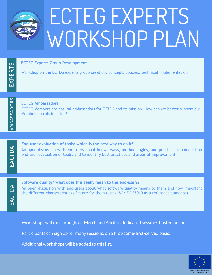

# WORKSHOP PLAN ECTEG EXPERTS

#### **ECTEG Experts Group Development**

Workshop on the ECTEG experts group creation: concept, policies, technical implementation

A $\mathsf{\Xi}$ BASSA $\mathop{\mathsf{C}}$ OR<br>R

ப  $\times$  $\mathbf{\Omega}$ E $\boldsymbol{\alpha}$  $\vdash$ ၯ

#### **ECTEG Ambassadors**

ECTEG Members are natural ambassadors for ECTEG and its mission. How can we better support our Members in this function?

ப  $\blacktriangleleft$  $\bm{\cup}$  $\vdash$  $\mathop{\Box}$ A

#### **End-user evaluation of tools: which is the best way to do it?**

An open discussion with end-users about known ways, methodologies, and practices to conduct an end-user evaluation of tools, and to identify best practices and areas of improvement.

E $\blacktriangleleft$  $\bm{\cup}$  $\vdash$  $\mathop{\Box}$ A

#### **More Malware Analysis Wilde Contract Software quality? What does this really mean to the end-users?**

This apen abeassion with the astro about what software quality means to them and how important the different characteristics of it are for them (using ISO/IEC 25010 as a reference standard) An open discussion with end-users about what software quality means to them and how important

Workshops will run throughout March and April, in dedicated sessions hosted online.

Participants can sign up for many sessions, on a first-come-first-served basis.

**Dates: March/April 2022** - DATES AND REGISTRATION LINK WILL BE AVAILABLE SOON

Additional workshops will be added to this list.

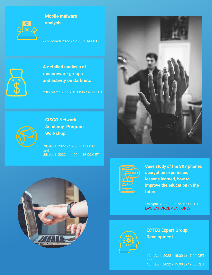

#### **[Mobile malware](https://survey.ecteg.eu/index.php/774223?lang=en) analysis**

[22nd March 2022 - 12:00 to 14:00 CET](https://survey.ecteg.eu/index.php/774223?lang=en)



**A detailed analysis of ransomware groups [and activity on darknets](https://survey.ecteg.eu/index.php/711685?lang=en)**

[29th March 2022 - 12:00 to 14:00 CET](https://survey.ecteg.eu/index.php/711685?lang=en)





### **CISCO Network [Academy Program](https://survey.ecteg.eu/index.php/536168?lang=en) Workshop**

[7th April 2022 - 15:00 to 17:00 CET](https://survey.ecteg.eu/index.php/536168?lang=en) and 8th April 2022 - 14:00 to 16:00 CET





**[Case study of the SKY phones](https://survey.ecteg.eu/index.php/841341?lang=en) decryption experience: lessons learned, how to improve the education in the future**

[1th April 2022 - 9:00 to 11:00 CET](https://survey.ecteg.eu/index.php/841341?lang=en) LAW ENFORCEMENT ONLY



**ECTEG Expert Group Development**

[12th April 2022 - 15:00 to 17:00 CET](https://survey.ecteg.eu/index.php/777117?lang=en) and 13th April 2022 - 15:00 to 17:00 CET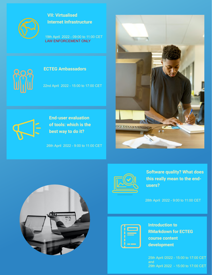

**VII: Virtualised [Internet Infrastructure](https://survey.ecteg.eu/index.php/536168?lang=en)**

[19th April 2022 - 09:00 to 11:00 CET](https://survey.ecteg.eu/index.php/536168?lang=en) LAW ENFORCEMENT ONLY



#### **[ECTEG Ambassadors](https://survey.ecteg.eu/index.php/844926?lang=en)**

[22nd April 2022 - 15:00 to 17:00 CET](https://survey.ecteg.eu/index.php/844926?lang=en)



**End-user evaluation [of tools: which is the](https://survey.ecteg.eu/index.php/462685?lang=en) best way to do it?**

[26th April 2022 - 9:00 to 11:00 CET](https://survey.ecteg.eu/index.php/462685?lang=en)





**[Software quality? What does](https://survey.ecteg.eu/index.php/557163?lang=en) this really mean to the endusers?**

[28th April 2022 - 9:00 to 11:00 CET](https://survey.ecteg.eu/index.php/557163?lang=en)





**Introduction to [RMarkdown for ECTEG](https://survey.ecteg.eu/index.php/864271?lang=en) course content development**

[25th April /2022 - 15:00 to 17:00 CET](https://survey.ecteg.eu/index.php/864271?lang=en) and 29th April 2022 - 15:00 to 17:00 CET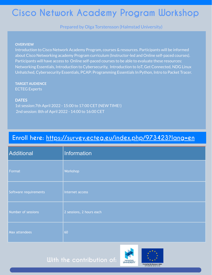## **Cisco Network Academy Program Workshop**

Prepared by Olga Torstensson (Halmstad University)

#### **OVERVIEW**

Introduction to Cisco Network Academy Program, courses & resources. Participants will be informed about Cisco Networking academy Program curriculum (Instructor-led and Online self-paced courses). Participants will have access to Online self-paced courses to be able to evaluate these resources: Networking Essentials, Introduction to Cybersecurity, Introduction to IoT, Get Connected, NDG Linux Unhatched, Cybersecurity Essentials, PCAP: Programming Essentials In Python, Intro to Packet Tracer.

**TARGET AUDIENCE** ECTEG Experts

#### **DATES**

1st session:7th April 2022 - 15:00 to 17:00 CET (NEW TIME!) 2nd session: 8th of April 2022 - 14:00 to 16:00 CET

## **Enroll here: <https://survey.ecteg.eu/index.php/973423?lang=en>**

| <b>Additional</b>     | Information              |
|-----------------------|--------------------------|
| Format                | Workshop                 |
| Software requirements | Internet access          |
| Number of sessions    | 2 sessions, 2 hours each |
| Max attendees         | 60                       |

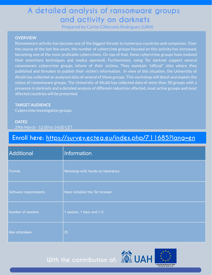## **A detailed analysis of ransomware groups and activity on darknets**

Prepared by Carlos Cilleruelo Rodríguez (UAH)

#### **OVERVIEW**

Ransomware activity has become one of the biggest threats to numerous countries and companies. Over the course of the last few years, the number of cybercrime groups focused on this activity has increased, becoming one of the most profitable cybercrimes. On top of that, these cybercrime groups have evolved their extortions techniques and modus operandi. Furthermore, using Tor darknet support several ransomware cybercrime groups inform of their victims. They maintain "official" sites where they published and threaten to publish their victim's information. In view of this situation, the University of Alcalá has collected an analysed data of several of these groups. This workshop will detail and explain the status of ransomware groups. The University of Alcalá has collected data of more than 30 groups with a presence in darknets and a detailed analysis of different industries affected, most active groups and most affected countries will be presented.

#### **TARGET AUDIENCE**

Cybercrime investigation groups

#### **DATES** 29th March - 12:00 to 14:00 CET

## **Enroll here: <https://survey.ecteg.eu/index.php/711685?lang=en>**

| <b>Additional</b>     | Information                       |
|-----------------------|-----------------------------------|
| Format                | Workshop with hands-on laboratory |
| Software requirements | Have installed the Tor browser    |
| Number of sessions    | 1 session, 1 hour and 1/2         |
| Max attendees         | 25                                |

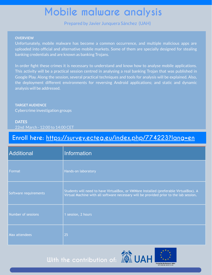# **Mobile malware analysis**

Prepared by Javier Junquera Sánchez (UAH)

#### **OVERVIEW**

Unfortunately, mobile malware has become a common occurrence, and multiple malicious apps are uploaded into official and alternative mobile markets. Some of them are specially designed for stealing banking credentials and are known as banking Trojans.

In order fight these crimes it is necessary to understand and know how to analyse mobile applications. This activity will be a practical session centred in analysing a real banking Trojan that was published in Google Play. Along the session, several practical techniques and tools for analysis will be explained. Also, the deployment different environments for reversing Android applications; and static and dynamic analysis will be addressed.

**TARGET AUDIENCE** Cybercrime investigation groups

#### **DATES** 22nd March - 12:00 to 14:00 CET

## **Enroll here: <https://survey.ecteg.eu/index.php/774223?lang=en>**

| <b>Additional</b>     | Information                                                                                                                                                                     |
|-----------------------|---------------------------------------------------------------------------------------------------------------------------------------------------------------------------------|
| Format                | Hands-on laboratory                                                                                                                                                             |
| Software requirements | Students will need to have VirtualBox, or VMWare Installed (preferable VirtualBox). A<br>Virtual Machine with all software necessary will be provided prior to the lab session. |
| Number of sessions    | 1 session, 2 hours                                                                                                                                                              |
| Max attendees         | 25                                                                                                                                                                              |

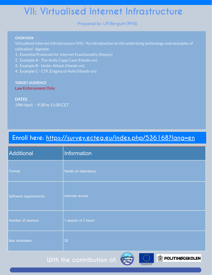## **VII: Virtualised Internet Infrastructure**

#### Prepared by Ulf Bergum (PHS)

#### **OVERVIEW**

Virtualised Internet Infrastructure (VII):"An introduction to the underlying technology and examples of utilisation". Agenda:

- 1. Essential Protocols for Internet Functionality (theory)
- 2. Example A The Andy Capp Case (Hands-on)
- 3. Example B Under Attack (Hands-on)
- 4. Example C CTF, Enigma of Avila (Hands-on)

#### **TARGET AUDIENCE**

#### Law Enforcement Only

**DATES** 19th April – 9:30 to 11:00 CET

## **Enroll here: <https://survey.ecteg.eu/index.php/536168?lang=en>**

| Additional            | Information               |
|-----------------------|---------------------------|
| Format                | Hands-on laboratory       |
| Software requirements | Internet access           |
| Number of sessions    | 1 session of 2 hours      |
| Max attendees         | 20<br><b>CRIME TRANGE</b> |



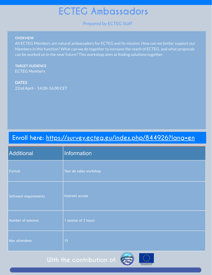## **ECTEG Ambassadors**

Prepared by ECTEG Staff

#### **OVERVIEW**

All ECTEG Members are natural ambassadors for ECTEG and its mission. How can we better support our Members in this function? What can we do together to increase the reach of ECTEG, and what proposals can be worked on in the near future? This workshop aims at finding solutions together.

**TARGET AUDIENCE** ECTEG Members

**DATES** 22nd April – 14:00-16:00 CET

## **Enroll here: [https://survey.ecteg.eu/index.php/844926?lang=en](https://survey.ecteg.eu/index.php/536168?lang=en)**

| Additional            | Information            |
|-----------------------|------------------------|
| Format                | Tour de table workshop |
| Software requirements | Internet access        |
| Number of sessions    | 1 session of 2 hours   |
| Max attendees         | 15                     |

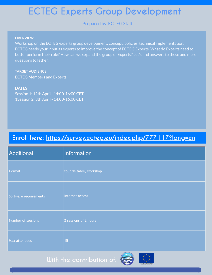## **ECTEG Experts Group Development**

Prepared by ECTEG Staff

#### **OVERVIEW**

Workshop on the ECTEG experts group development: concept, policies, technical implementation. ECTEG needs your input as experts to improve the concept of ECTEG Experts. What do Experts need to better perform their role? How can we expand the group of Experts? Let's find answers to these and more questions together.

**TARGET AUDIENCE** ECTEG Members and Experts

#### **DATES**

Session 1: 12th April - 14:00-16:00 CET 1Session 2: 3th April - 14:00-16:00 CET

## **Enroll here: <https://survey.ecteg.eu/index.php/777117?lang=en>**

| Additional            | Information             |
|-----------------------|-------------------------|
| Format                | tour de table, workshop |
| Software requirements | Internet access         |
| Number of sessions    | 2 sessions of 2 hours   |
| Max attendees         | 15                      |

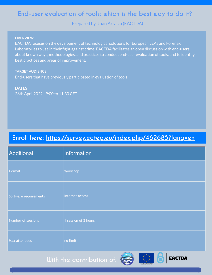## **End-user evaluation of tools: which is the best way to do it?**

Prepared by Juan Arraiza (EACTDA)

#### **OVERVIEW**

EACTDA focuses on the development of technological solutions for European LEAs and Forensic Laboratories to use in their fight against crime. EACTDA facilitates an open discussion with end-users about known ways, methodologies, and practices to conduct end-user evaluation of tools, and to identify best practices and areas of improvement.

**TARGET AUDIENCE** End-users that have previously participated in evaluation of tools

**DATES** 26th April 2022 - 9:00 to 11:30 CET

## **Enroll here: [https://survey.ecteg.eu/index.php/462685?lang=en](https://survey.ecteg.eu/index.php/536168?lang=en)**

| Additional            | Information          |
|-----------------------|----------------------|
| Format                | Workshop             |
| Software requirements | Internet access      |
| Number of sessions    | 1 session of 2 hours |
| Max attendees         | no limit             |
|                       |                      |

**EACTDA** 

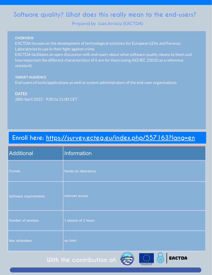## **Software quality? What does this really mean to the end-users?**

Prepared by Juan Arraiza (EACTDA)

#### **OVERVIEW**

EACTDA focuses on the development of technological solutions for European LEAs and Forensic Laboratories to use in their fight against crime.

EACTDA facilitates an open discussion with end-users about what software quality means to them and how important the different characteristics of it are for them (using ISO/IEC 25010 as a reference standard)

#### **TARGET AUDIENCE**

End-users of tools/applications as well as system administrators of the end-user organisations

#### **DATES**

28th April 2022 - 9:00 to 11:00 CET

## **Enroll here: [https://survey.ecteg.eu/index.php/557163?lang=en](https://survey.ecteg.eu/index.php/536168?lang=en)**

| Additional            | Information                                   |
|-----------------------|-----------------------------------------------|
| Format                | Hands-on laboratory                           |
| Software requirements | Internet access                               |
| Number of sessions    | 1 session of 2 hours                          |
| Max attendees         | no limit                                      |
|                       | <b>THE REAL PROPERTY OF STATE OF PERSONAL</b> |



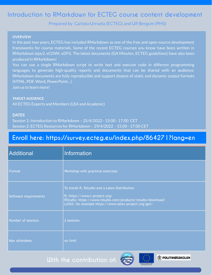## **Introduction to RMarkdown for ECTEG course content development**

Prepared by Carlota Urruela (ECTEG) and Ulf Bergum (PHS)

#### **OVERVIEW**

In the past two years, ECTEG has included RMarkdown as one of the free and open-source development frameworks for course materials. Some of the recent ECTEG courses you know have been written in RMarkdown (epy3, eCDWI, eDFI). The latest documents (GA Minutes, ECTEG guidelines) have also been produced in RMarkdown!

You can use a single RMarkdown script to write text and execute code in different programming languages to generate high-quality reports and documents that can be shared with an audience. RMarkdown documents are fully reproducible and support dozens of static and dynamic output formats (HTML, PDF, Word, PowerPoint…).

Join us to learn more!

#### **TARGET AUDIENCE**

All ECTEG Experts and Members (LEA and Academic)

#### **DATES**

Session 1: Introduction to RMarkdown – 25/4/2022 - 15:00 - 17:00 CET Session 2: ECTEG Resources for RMarkdown – 29/4/2022 - 15:00 - 17:00 CET

### **Enroll here: https://survey.ecteg.eu/index.php/864271?lang=en**

| <b>Additional</b>     | Information                                                                                                                                                                                             |
|-----------------------|---------------------------------------------------------------------------------------------------------------------------------------------------------------------------------------------------------|
| Format                | Workshop with practical exercises                                                                                                                                                                       |
| Software requirements | To install R, Rstudio and a Latex Distribution<br>R: https://www.r-project.org/<br>RStudio: https://www.rstudio.com/products/rstudio/download/<br>LaTeX: for example https://www.latex-project.org/get/ |
| Number of sessions    | 2 sessions                                                                                                                                                                                              |
| <b>Max attendees</b>  | no limit                                                                                                                                                                                                |